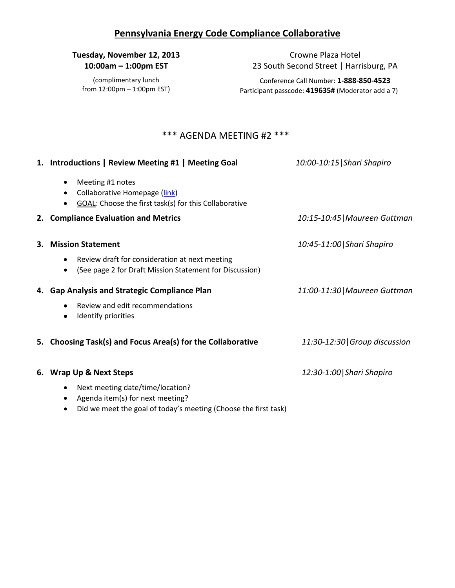## **Pennsylvania Energy Code Compliance Collaborative**

## **Tuesday, November 12, 2013 10:00am – 1:00pm EST**

(complimentary lunch from 12:00pm – 1:00pm EST)

Crowne Plaza Hotel 23 South Second Street | Harrisburg, PA

Conference Call Number: **1-888-850-4523** Participant passcode: **419635#** (Moderator add a 7)

## \*\*\* AGENDA MEETING #2 \*\*\*

|    | 1. Introductions   Review Meeting #1   Meeting Goal                                                        | 10:00-10:15   Shari Shapiro   |
|----|------------------------------------------------------------------------------------------------------------|-------------------------------|
|    | Meeting #1 notes<br>Collaborative Homepage (link)<br>GOAL: Choose the first task(s) for this Collaborative |                               |
|    | 2. Compliance Evaluation and Metrics                                                                       | 10:15-10:45   Maureen Guttman |
| 3. | <b>Mission Statement</b>                                                                                   | 10:45-11:00 Shari Shapiro     |
|    | Review draft for consideration at next meeting<br>(See page 2 for Draft Mission Statement for Discussion)  |                               |
|    | 4. Gap Analysis and Strategic Compliance Plan                                                              | 11:00-11:30 Maureen Guttman   |
|    | Review and edit recommendations<br>Identify priorities                                                     |                               |
|    | 5. Choosing Task(s) and Focus Area(s) for the Collaborative                                                | 11:30-12:30 Group discussion  |
|    | 6. Wrap Up & Next Steps                                                                                    | 12:30-1:00 Shari Shapiro      |
|    | Next meeting date/time/location?<br>Agenda item(s) for next meeting?                                       |                               |

• Did we meet the goal of today's meeting (Choose the first task)